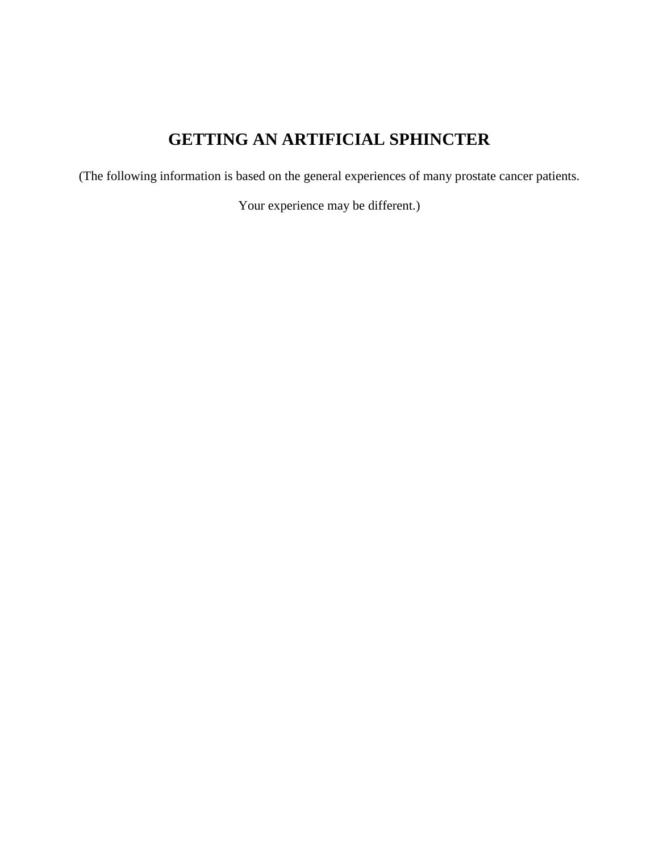# **GETTING AN ARTIFICIAL SPHINCTER**

(The following information is based on the general experiences of many prostate cancer patients.

Your experience may be different.)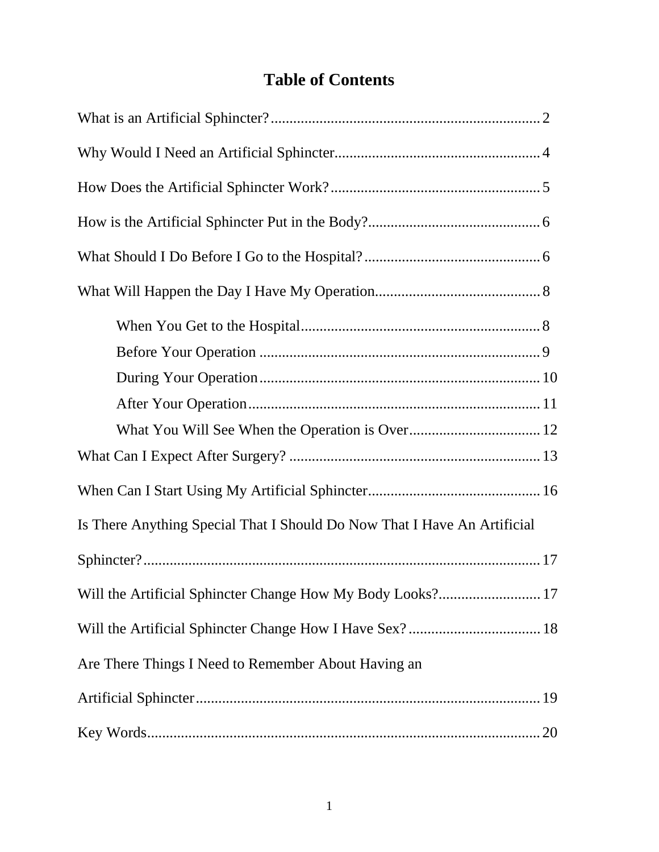## **Table of Contents**

| Is There Anything Special That I Should Do Now That I Have An Artificial |
|--------------------------------------------------------------------------|
|                                                                          |
| Will the Artificial Sphincter Change How My Body Looks? 17               |
|                                                                          |
| Are There Things I Need to Remember About Having an                      |
|                                                                          |
|                                                                          |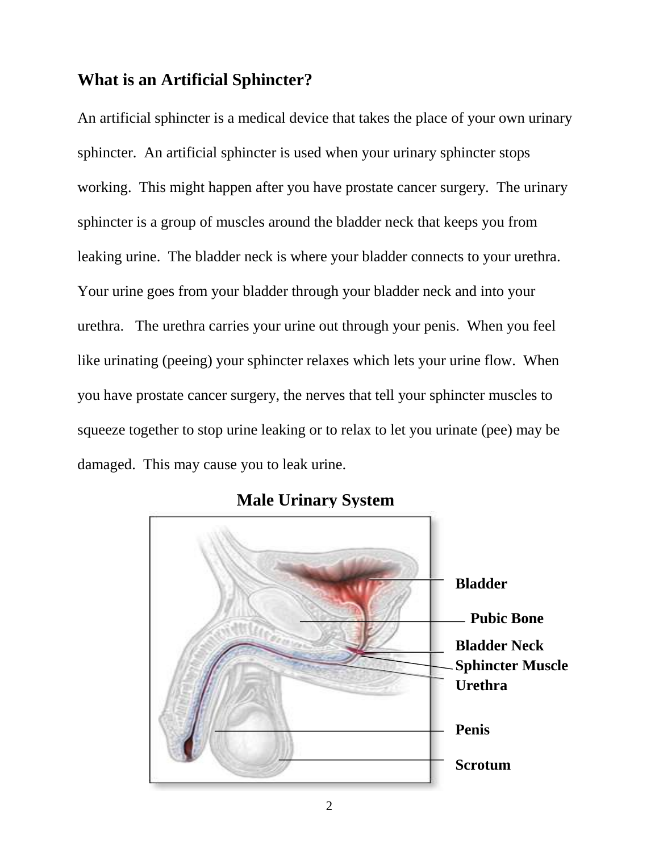## **What is an Artificial Sphincter?**

An artificial sphincter is a medical device that takes the place of your own urinary sphincter. An artificial sphincter is used when your urinary sphincter stops working. This might happen after you have prostate cancer surgery. The urinary sphincter is a group of muscles around the bladder neck that keeps you from leaking urine. The bladder neck is where your bladder connects to your urethra. Your urine goes from your bladder through your bladder neck and into your urethra. The urethra carries your urine out through your penis. When you feel like urinating (peeing) your sphincter relaxes which lets your urine flow. When you have prostate cancer surgery, the nerves that tell your sphincter muscles to squeeze together to stop urine leaking or to relax to let you urinate (pee) may be damaged. This may cause you to leak urine.



**Male Urinary System**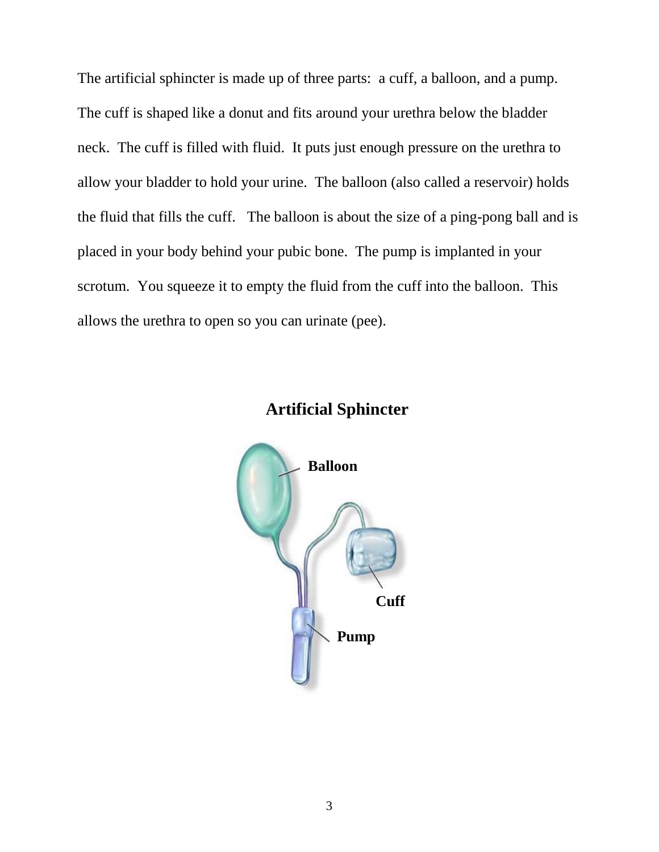The artificial sphincter is made up of three parts: a cuff, a balloon, and a pump. The cuff is shaped like a donut and fits around your urethra below the bladder neck. The cuff is filled with fluid. It puts just enough pressure on the urethra to allow your bladder to hold your urine. The balloon (also called a reservoir) holds the fluid that fills the cuff. The balloon is about the size of a ping-pong ball and is placed in your body behind your pubic bone. The pump is implanted in your scrotum. You squeeze it to empty the fluid from the cuff into the balloon. This allows the urethra to open so you can urinate (pee).



#### **Artificial Sphincter**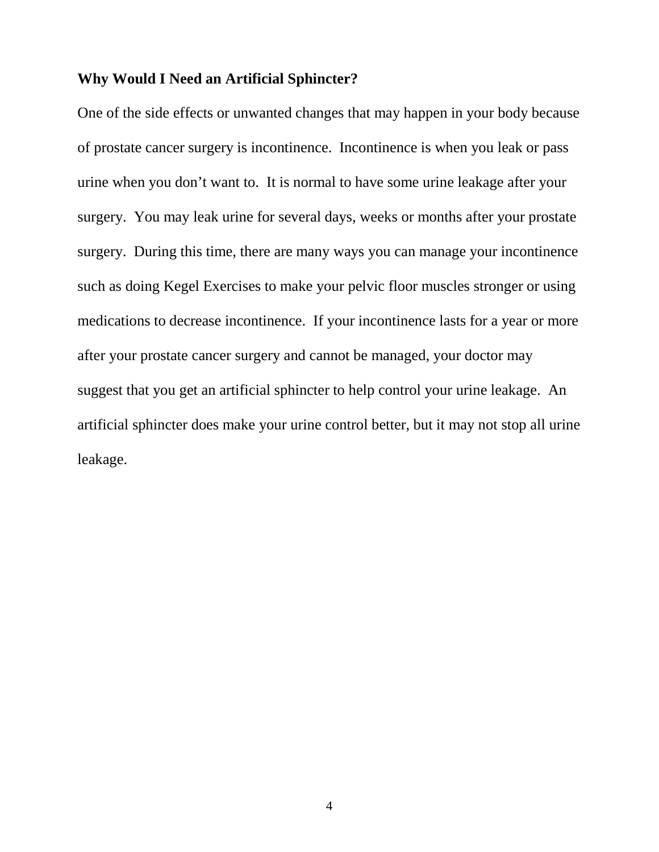#### **Why Would I Need an Artificial Sphincter?**

One of the side effects or unwanted changes that may happen in your body because of prostate cancer surgery is incontinence. Incontinence is when you leak or pass urine when you don't want to. It is normal to have some urine leakage after your surgery. You may leak urine for several days, weeks or months after your prostate surgery. During this time, there are many ways you can manage your incontinence such as doing Kegel Exercises to make your pelvic floor muscles stronger or using medications to decrease incontinence. If your incontinence lasts for a year or more after your prostate cancer surgery and cannot be managed, your doctor may suggest that you get an artificial sphincter to help control your urine leakage. An artificial sphincter does make your urine control better, but it may not stop all urine leakage.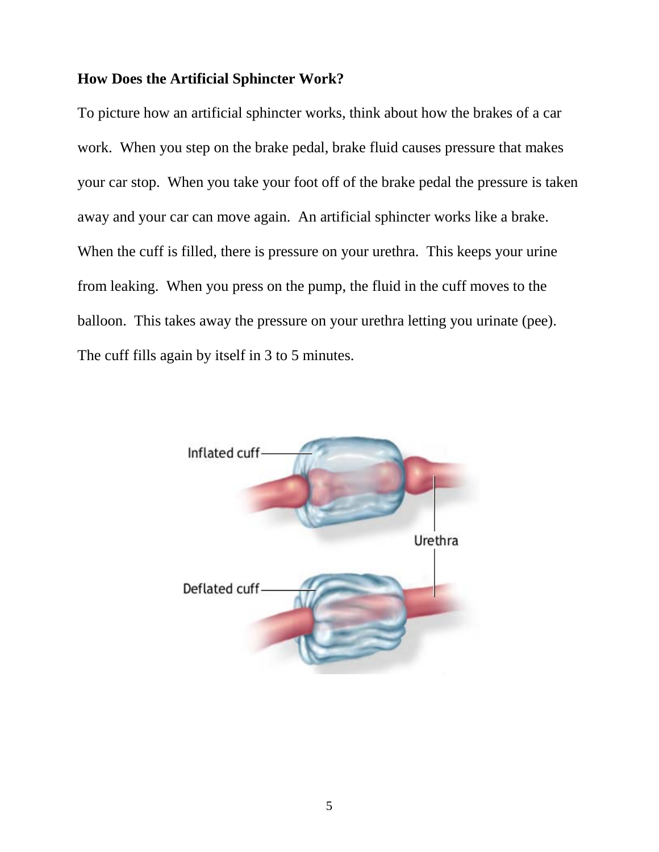#### **How Does the Artificial Sphincter Work?**

To picture how an artificial sphincter works, think about how the brakes of a car work. When you step on the brake pedal, brake fluid causes pressure that makes your car stop. When you take your foot off of the brake pedal the pressure is taken away and your car can move again. An artificial sphincter works like a brake. When the cuff is filled, there is pressure on your urethra. This keeps your urine from leaking. When you press on the pump, the fluid in the cuff moves to the balloon. This takes away the pressure on your urethra letting you urinate (pee). The cuff fills again by itself in 3 to 5 minutes.

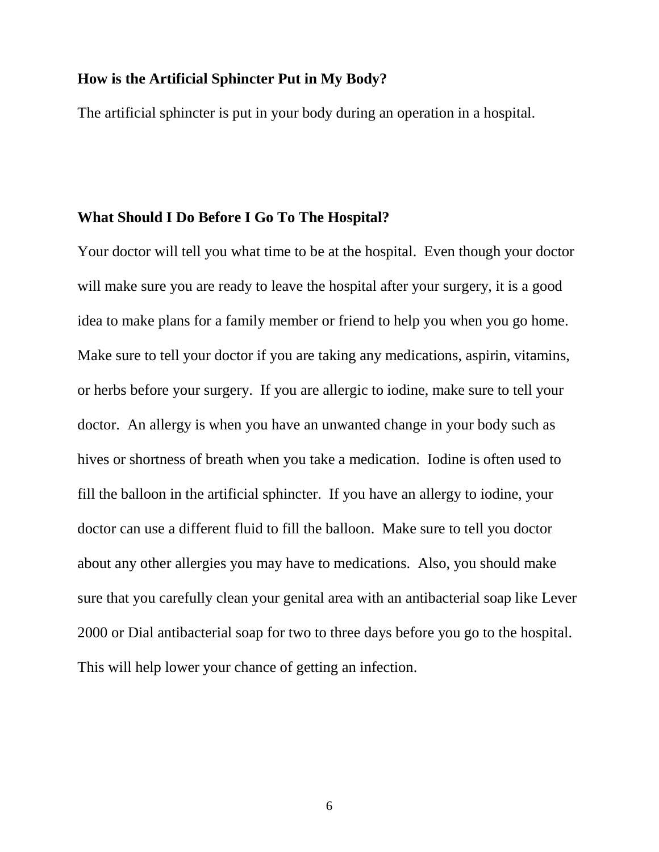#### **How is the Artificial Sphincter Put in My Body?**

The artificial sphincter is put in your body during an operation in a hospital.

#### **What Should I Do Before I Go To The Hospital?**

Your doctor will tell you what time to be at the hospital. Even though your doctor will make sure you are ready to leave the hospital after your surgery, it is a good idea to make plans for a family member or friend to help you when you go home. Make sure to tell your doctor if you are taking any medications, aspirin, vitamins, or herbs before your surgery. If you are allergic to iodine, make sure to tell your doctor. An allergy is when you have an unwanted change in your body such as hives or shortness of breath when you take a medication. Iodine is often used to fill the balloon in the artificial sphincter. If you have an allergy to iodine, your doctor can use a different fluid to fill the balloon. Make sure to tell you doctor about any other allergies you may have to medications. Also, you should make sure that you carefully clean your genital area with an antibacterial soap like Lever 2000 or Dial antibacterial soap for two to three days before you go to the hospital. This will help lower your chance of getting an infection.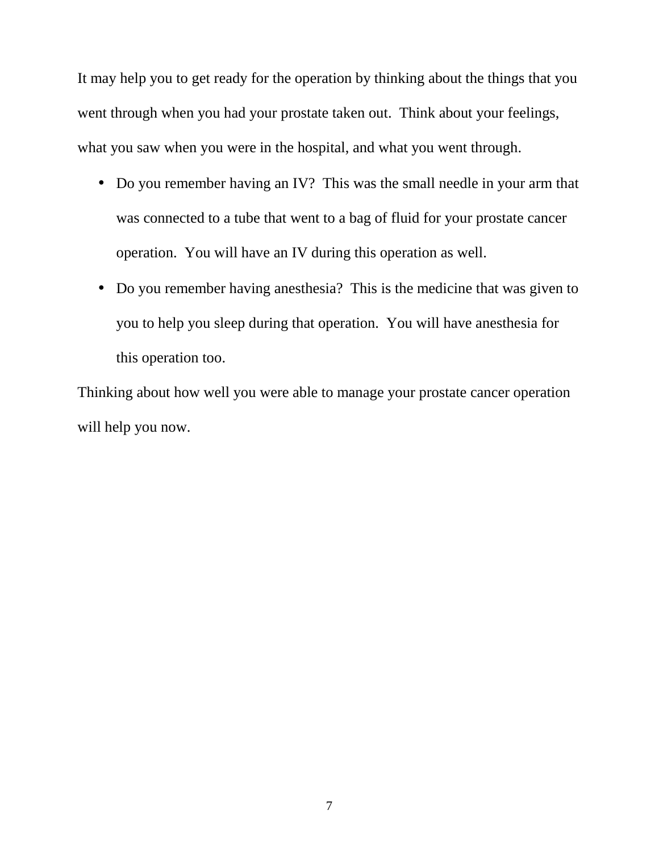It may help you to get ready for the operation by thinking about the things that you went through when you had your prostate taken out. Think about your feelings, what you saw when you were in the hospital, and what you went through.

- Do you remember having an IV? This was the small needle in your arm that was connected to a tube that went to a bag of fluid for your prostate cancer operation. You will have an IV during this operation as well.
- Do you remember having anesthesia? This is the medicine that was given to you to help you sleep during that operation. You will have anesthesia for this operation too.

Thinking about how well you were able to manage your prostate cancer operation will help you now.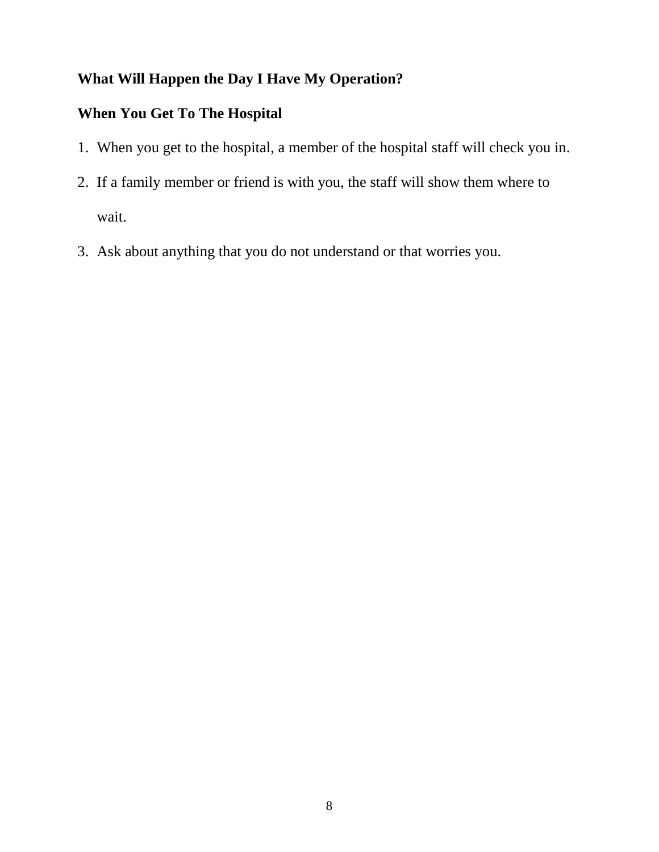## **What Will Happen the Day I Have My Operation?**

#### **When You Get To The Hospital**

- 1. When you get to the hospital, a member of the hospital staff will check you in.
- 2. If a family member or friend is with you, the staff will show them where to wait.
- 3. Ask about anything that you do not understand or that worries you.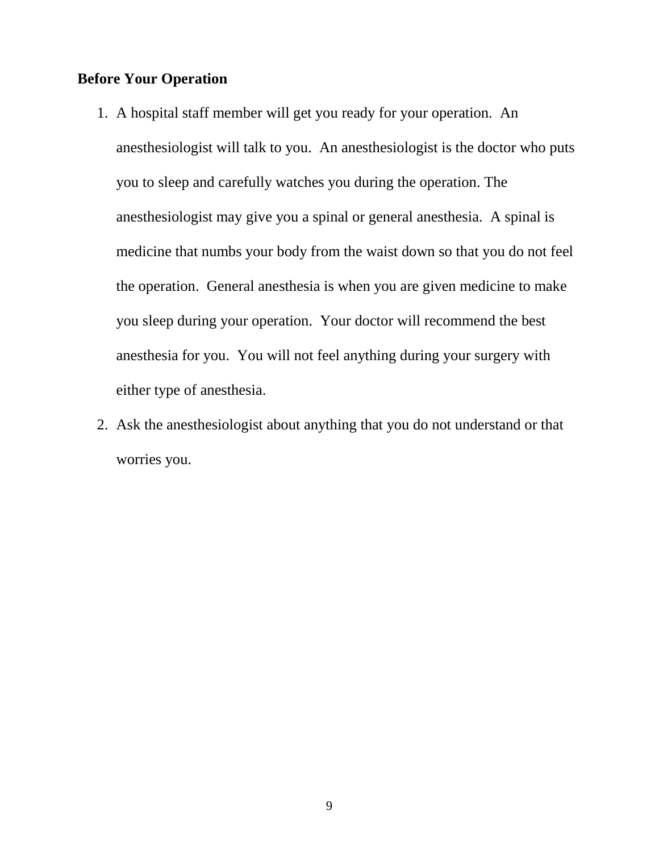#### **Before Your Operation**

- 1. A hospital staff member will get you ready for your operation. An anesthesiologist will talk to you. An anesthesiologist is the doctor who puts you to sleep and carefully watches you during the operation. The anesthesiologist may give you a spinal or general anesthesia. A spinal is medicine that numbs your body from the waist down so that you do not feel the operation. General anesthesia is when you are given medicine to make you sleep during your operation. Your doctor will recommend the best anesthesia for you. You will not feel anything during your surgery with either type of anesthesia.
- 2. Ask the anesthesiologist about anything that you do not understand or that worries you.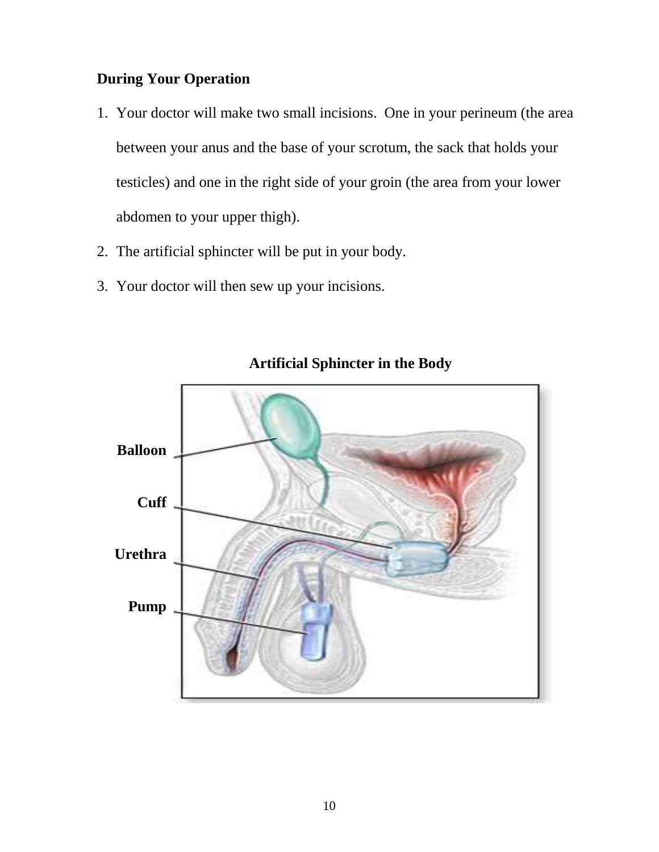#### **During Your Operation**

- 1. Your doctor will make two small incisions. One in your perineum (the area between your anus and the base of your scrotum, the sack that holds your testicles) and one in the right side of your groin (the area from your lower abdomen to your upper thigh).
- 2. The artificial sphincter will be put in your body.
- 3. Your doctor will then sew up your incisions.



## **Artificial Sphincter in the Body**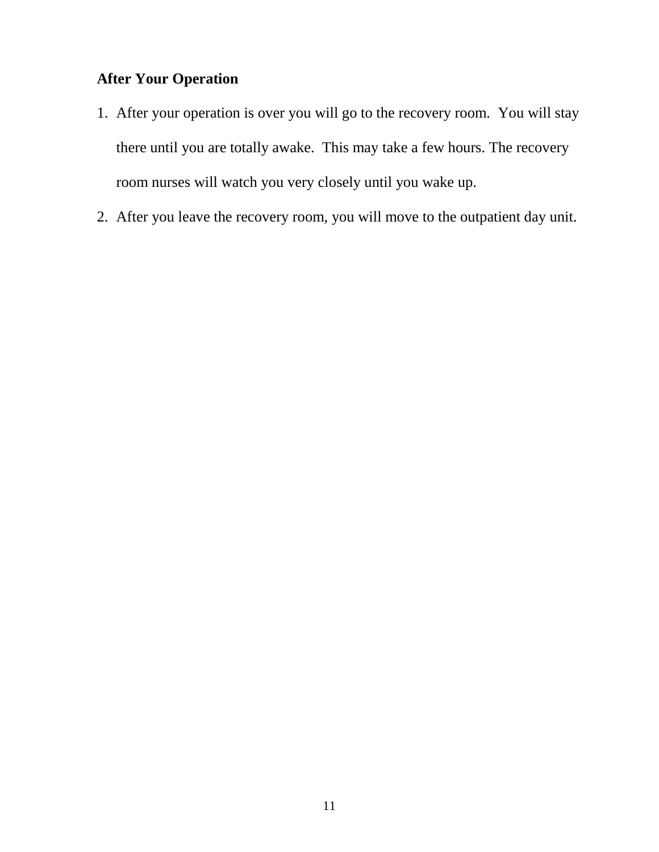## **After Your Operation**

- 1. After your operation is over you will go to the recovery room. You will stay there until you are totally awake. This may take a few hours. The recovery room nurses will watch you very closely until you wake up.
- 2. After you leave the recovery room, you will move to the outpatient day unit.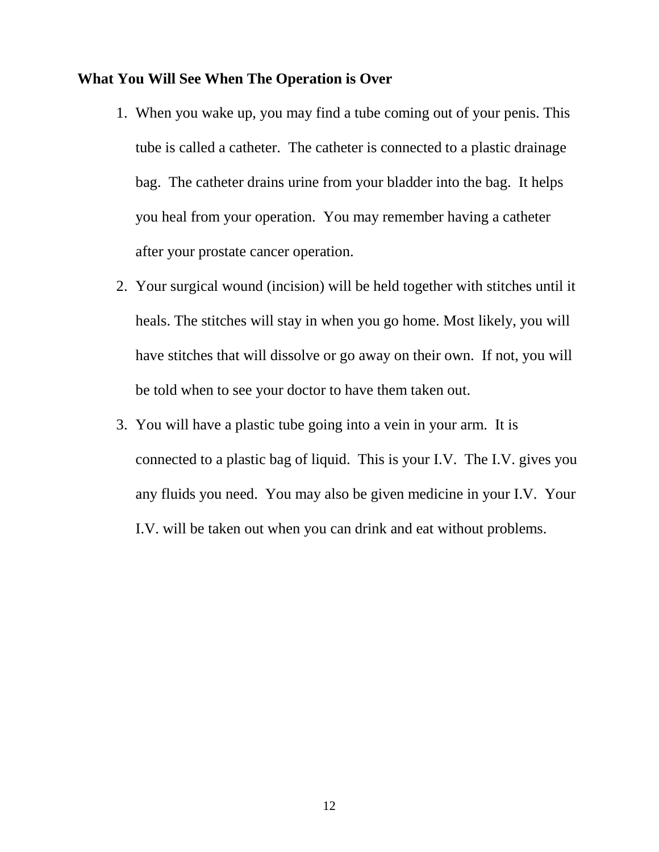#### **What You Will See When The Operation is Over**

- 1. When you wake up, you may find a tube coming out of your penis. This tube is called a catheter. The catheter is connected to a plastic drainage bag. The catheter drains urine from your bladder into the bag. It helps you heal from your operation. You may remember having a catheter after your prostate cancer operation.
- 2. Your surgical wound (incision) will be held together with stitches until it heals. The stitches will stay in when you go home. Most likely, you will have stitches that will dissolve or go away on their own. If not, you will be told when to see your doctor to have them taken out.
- 3. You will have a plastic tube going into a vein in your arm. It is connected to a plastic bag of liquid. This is your I.V. The I.V. gives you any fluids you need. You may also be given medicine in your I.V. Your I.V. will be taken out when you can drink and eat without problems.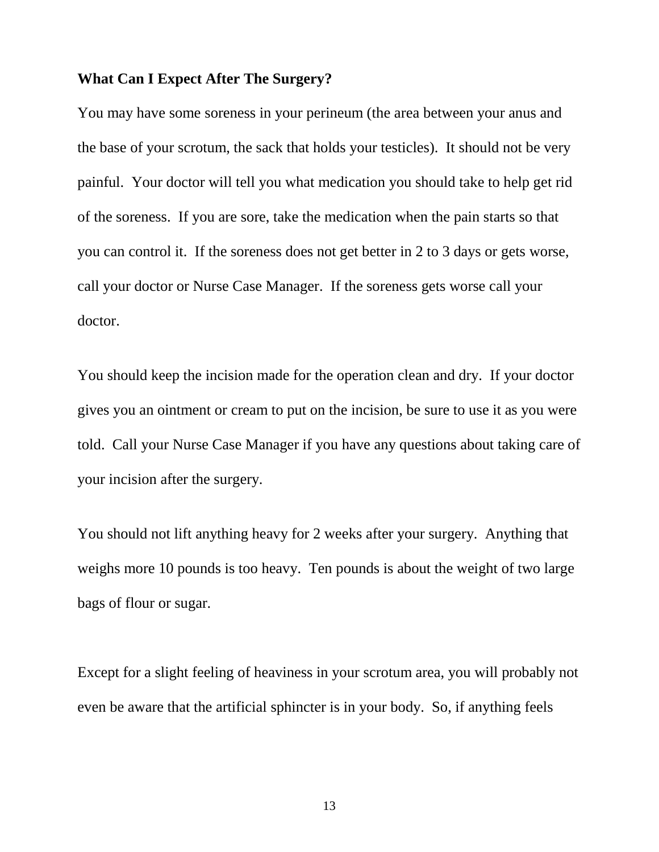## **What Can I Expect After The Surgery?**

You may have some soreness in your perineum (the area between your anus and the base of your scrotum, the sack that holds your testicles). It should not be very painful. Your doctor will tell you what medication you should take to help get rid of the soreness. If you are sore, take the medication when the pain starts so that you can control it. If the soreness does not get better in 2 to 3 days or gets worse, call your doctor or Nurse Case Manager. If the soreness gets worse call your doctor.

You should keep the incision made for the operation clean and dry. If your doctor gives you an ointment or cream to put on the incision, be sure to use it as you were told. Call your Nurse Case Manager if you have any questions about taking care of your incision after the surgery.

You should not lift anything heavy for 2 weeks after your surgery. Anything that weighs more 10 pounds is too heavy. Ten pounds is about the weight of two large bags of flour or sugar.

Except for a slight feeling of heaviness in your scrotum area, you will probably not even be aware that the artificial sphincter is in your body. So, if anything feels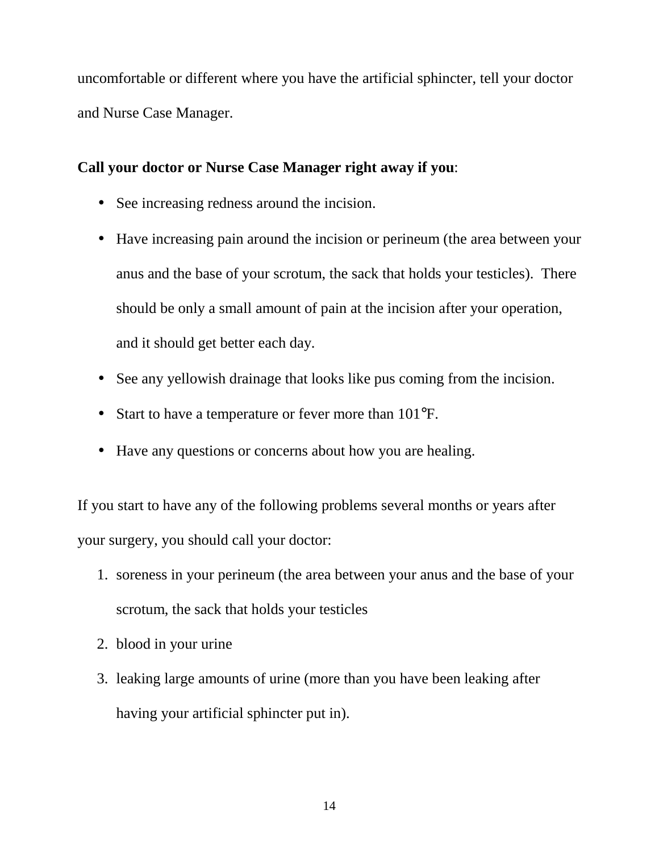uncomfortable or different where you have the artificial sphincter, tell your doctor and Nurse Case Manager.

#### **Call your doctor or Nurse Case Manager right away if you**:

- See increasing redness around the incision.
- Have increasing pain around the incision or perineum (the area between your anus and the base of your scrotum, the sack that holds your testicles). There should be only a small amount of pain at the incision after your operation, and it should get better each day.
- See any vellowish drainage that looks like pus coming from the incision.
- Start to have a temperature or fever more than  $101^{\circ}$ F.
- Have any questions or concerns about how you are healing.

If you start to have any of the following problems several months or years after your surgery, you should call your doctor:

- 1. soreness in your perineum (the area between your anus and the base of your scrotum, the sack that holds your testicles
- 2. blood in your urine
- 3. leaking large amounts of urine (more than you have been leaking after having your artificial sphincter put in).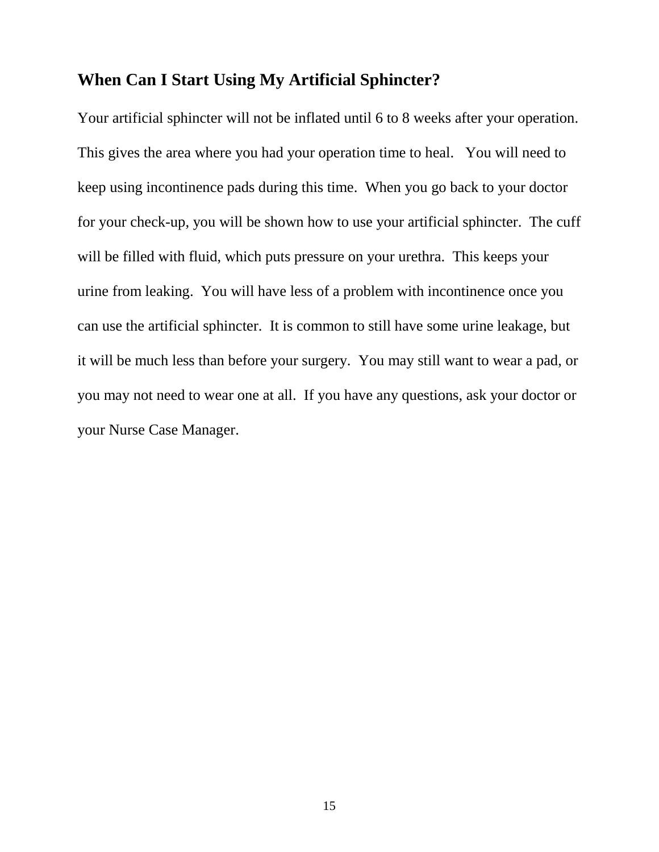## **When Can I Start Using My Artificial Sphincter?**

Your artificial sphincter will not be inflated until 6 to 8 weeks after your operation. This gives the area where you had your operation time to heal. You will need to keep using incontinence pads during this time. When you go back to your doctor for your check-up, you will be shown how to use your artificial sphincter. The cuff will be filled with fluid, which puts pressure on your urethra. This keeps your urine from leaking. You will have less of a problem with incontinence once you can use the artificial sphincter. It is common to still have some urine leakage, but it will be much less than before your surgery. You may still want to wear a pad, or you may not need to wear one at all. If you have any questions, ask your doctor or your Nurse Case Manager.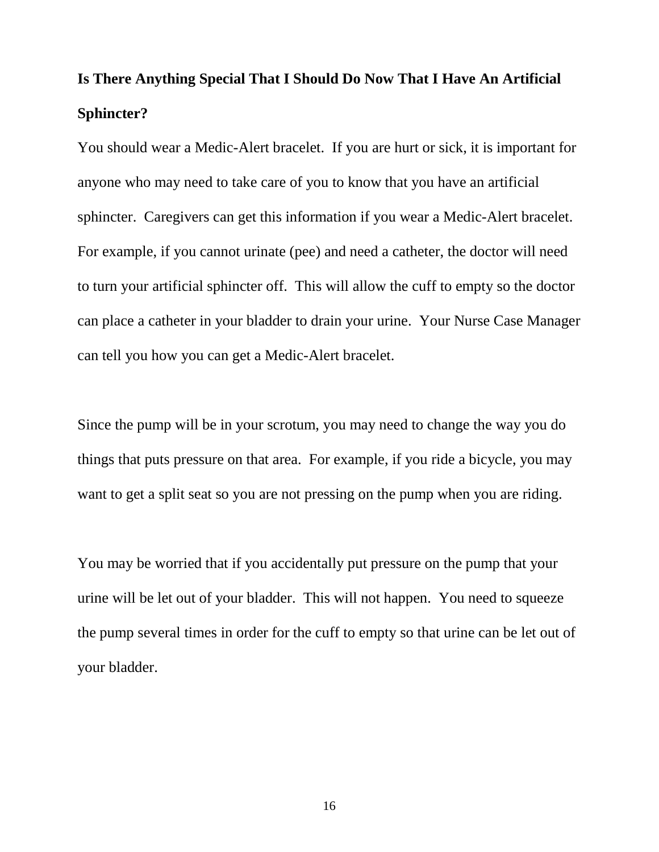# **Is There Anything Special That I Should Do Now That I Have An Artificial Sphincter?**

You should wear a Medic-Alert bracelet. If you are hurt or sick, it is important for anyone who may need to take care of you to know that you have an artificial sphincter. Caregivers can get this information if you wear a Medic-Alert bracelet. For example, if you cannot urinate (pee) and need a catheter, the doctor will need to turn your artificial sphincter off. This will allow the cuff to empty so the doctor can place a catheter in your bladder to drain your urine. Your Nurse Case Manager can tell you how you can get a Medic-Alert bracelet.

Since the pump will be in your scrotum, you may need to change the way you do things that puts pressure on that area. For example, if you ride a bicycle, you may want to get a split seat so you are not pressing on the pump when you are riding.

You may be worried that if you accidentally put pressure on the pump that your urine will be let out of your bladder. This will not happen. You need to squeeze the pump several times in order for the cuff to empty so that urine can be let out of your bladder.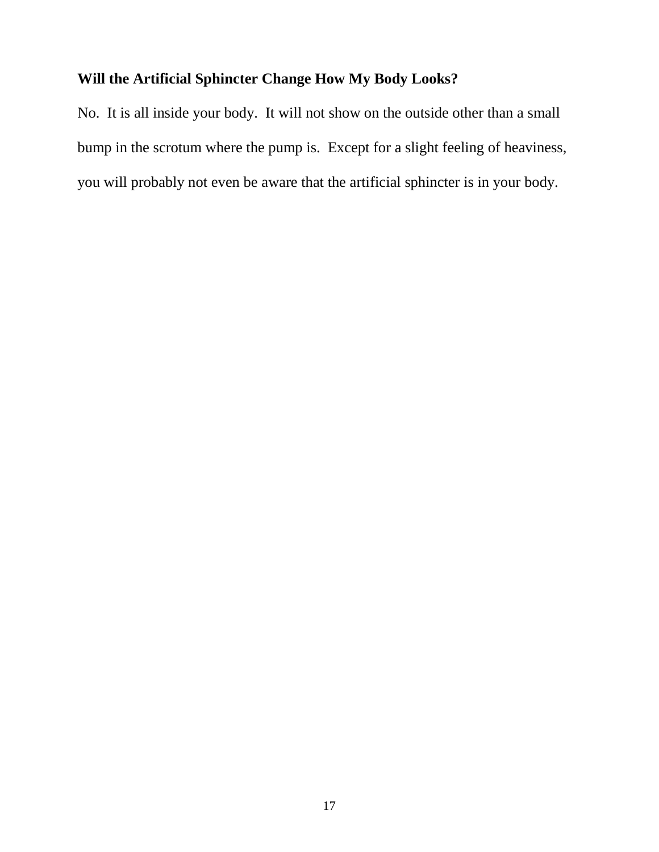## **Will the Artificial Sphincter Change How My Body Looks?**

No. It is all inside your body. It will not show on the outside other than a small bump in the scrotum where the pump is. Except for a slight feeling of heaviness, you will probably not even be aware that the artificial sphincter is in your body.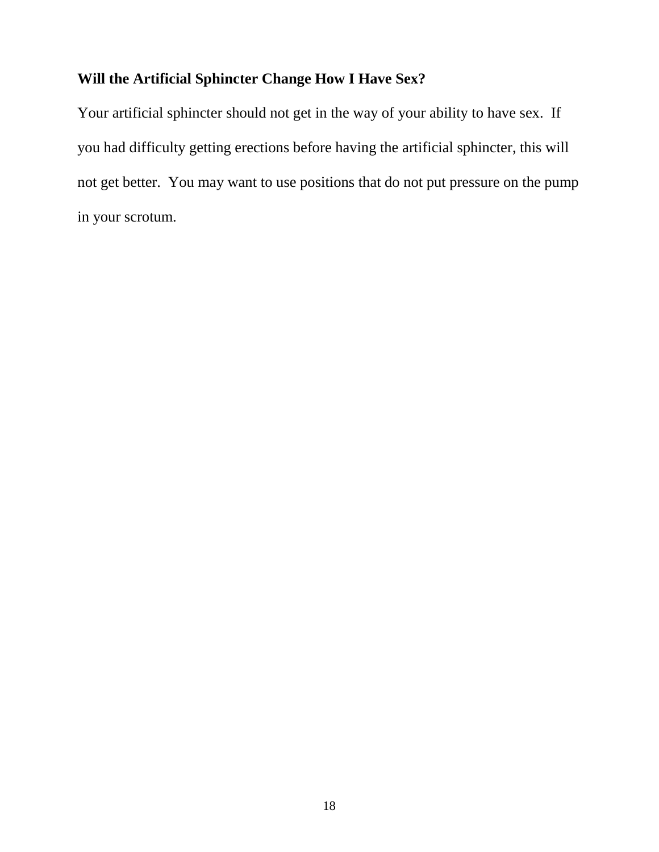## **Will the Artificial Sphincter Change How I Have Sex?**

Your artificial sphincter should not get in the way of your ability to have sex. If you had difficulty getting erections before having the artificial sphincter, this will not get better. You may want to use positions that do not put pressure on the pump in your scrotum.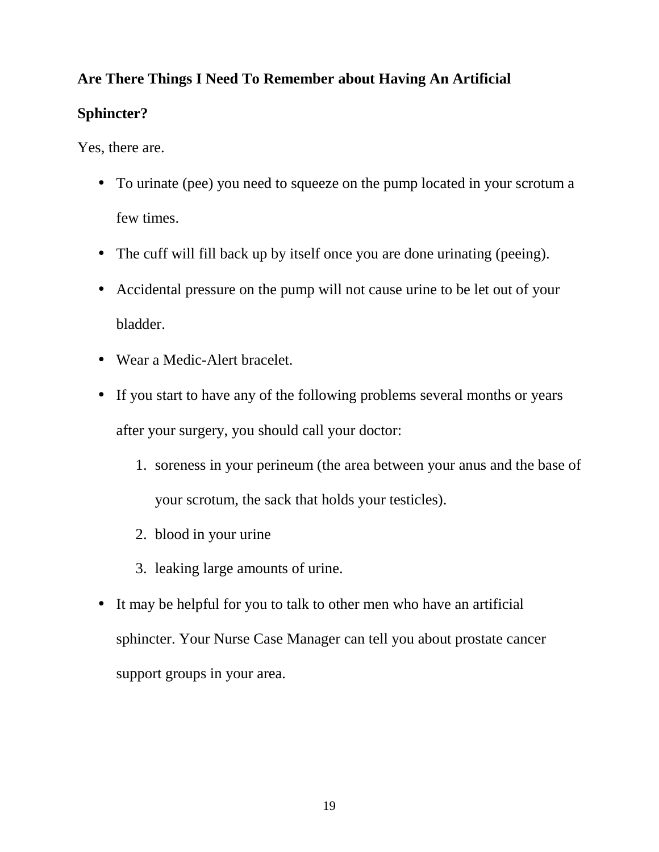## **Are There Things I Need To Remember about Having An Artificial**

## **Sphincter?**

Yes, there are.

- To urinate (pee) you need to squeeze on the pump located in your scrotum a few times.
- The cuff will fill back up by itself once you are done urinating (peeing).
- Accidental pressure on the pump will not cause urine to be let out of your bladder.
- Wear a Medic-Alert bracelet.
- If you start to have any of the following problems several months or years after your surgery, you should call your doctor:
	- 1. soreness in your perineum (the area between your anus and the base of your scrotum, the sack that holds your testicles).
	- 2. blood in your urine
	- 3. leaking large amounts of urine.
- It may be helpful for you to talk to other men who have an artificial sphincter. Your Nurse Case Manager can tell you about prostate cancer support groups in your area.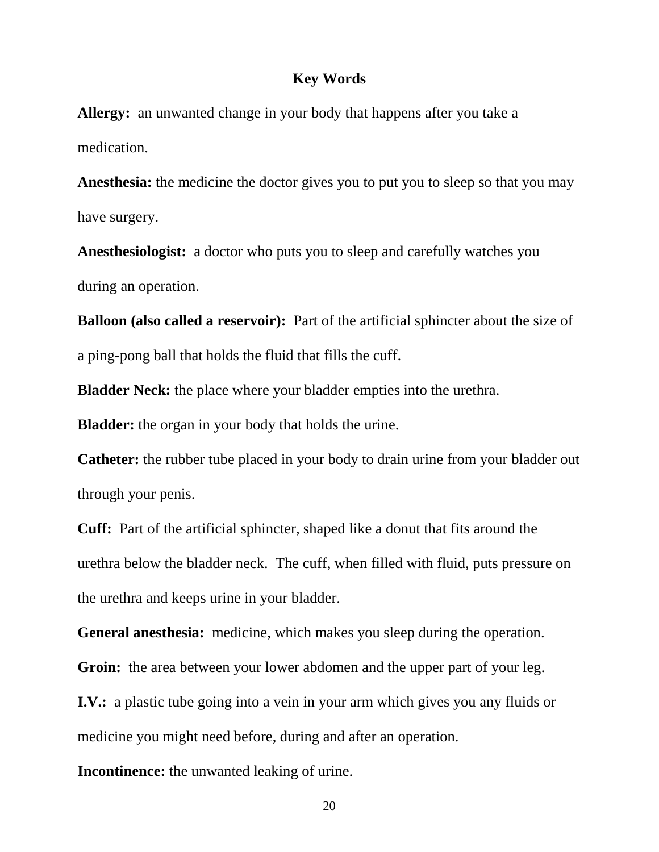#### **Key Words**

**Allergy:** an unwanted change in your body that happens after you take a medication.

**Anesthesia:** the medicine the doctor gives you to put you to sleep so that you may have surgery.

**Anesthesiologist:** a doctor who puts you to sleep and carefully watches you during an operation.

**Balloon (also called a reservoir):** Part of the artificial sphincter about the size of a ping-pong ball that holds the fluid that fills the cuff.

**Bladder Neck:** the place where your bladder empties into the urethra.

**Bladder:** the organ in your body that holds the urine.

**Catheter:** the rubber tube placed in your body to drain urine from your bladder out through your penis.

**Cuff:** Part of the artificial sphincter, shaped like a donut that fits around the urethra below the bladder neck. The cuff, when filled with fluid, puts pressure on the urethra and keeps urine in your bladder.

**General anesthesia:** medicine, which makes you sleep during the operation.

**Groin:** the area between your lower abdomen and the upper part of your leg.

**I.V.:** a plastic tube going into a vein in your arm which gives you any fluids or medicine you might need before, during and after an operation.

**Incontinence:** the unwanted leaking of urine.